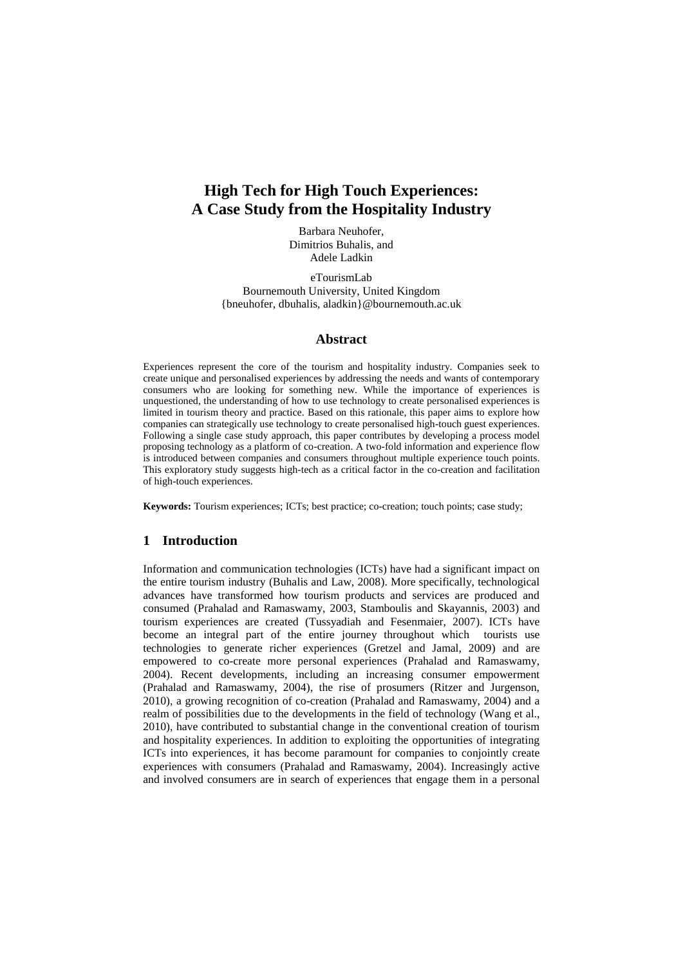# **High Tech for High Touch Experiences: A Case Study from the Hospitality Industry**

Barbara Neuhofer, Dimitrios Buhalis, and Adele Ladkin

eTourismLab Bournemouth University, United Kingdom {bneuhofer, dbuhalis, aladkin}@bournemouth.ac.uk

## **Abstract**

Experiences represent the core of the tourism and hospitality industry. Companies seek to create unique and personalised experiences by addressing the needs and wants of contemporary consumers who are looking for something new. While the importance of experiences is unquestioned, the understanding of how to use technology to create personalised experiences is limited in tourism theory and practice. Based on this rationale, this paper aims to explore how companies can strategically use technology to create personalised high-touch guest experiences. Following a single case study approach, this paper contributes by developing a process model proposing technology as a platform of co-creation. A two-fold information and experience flow is introduced between companies and consumers throughout multiple experience touch points. This exploratory study suggests high-tech as a critical factor in the co-creation and facilitation of high-touch experiences.

**Keywords:** Tourism experiences; ICTs; best practice; co-creation; touch points; case study;

## **1 Introduction**

Information and communication technologies (ICTs) have had a significant impact on the entire tourism industry (Buhalis and Law, 2008). More specifically, technological advances have transformed how tourism products and services are produced and consumed (Prahalad and Ramaswamy, 2003, Stamboulis and Skayannis, 2003) and tourism experiences are created (Tussyadiah and Fesenmaier, 2007). ICTs have become an integral part of the entire journey throughout which tourists use technologies to generate richer experiences (Gretzel and Jamal, 2009) and are empowered to co-create more personal experiences (Prahalad and Ramaswamy, 2004). Recent developments, including an increasing consumer empowerment (Prahalad and Ramaswamy, 2004), the rise of prosumers (Ritzer and Jurgenson, 2010), a growing recognition of co-creation (Prahalad and Ramaswamy, 2004) and a realm of possibilities due to the developments in the field of technology (Wang et al., 2010), have contributed to substantial change in the conventional creation of tourism and hospitality experiences. In addition to exploiting the opportunities of integrating ICTs into experiences, it has become paramount for companies to conjointly create experiences with consumers (Prahalad and Ramaswamy, 2004). Increasingly active and involved consumers are in search of experiences that engage them in a personal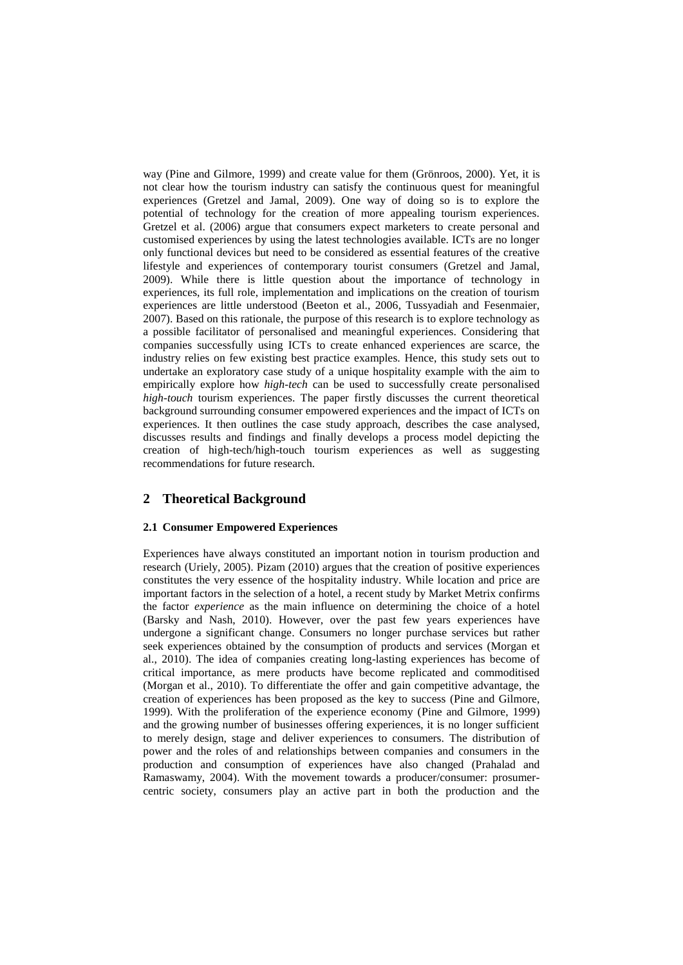way (Pine and Gilmore, 1999) and create value for them (Grönroos, 2000). Yet, it is not clear how the tourism industry can satisfy the continuous quest for meaningful experiences (Gretzel and Jamal, 2009). One way of doing so is to explore the potential of technology for the creation of more appealing tourism experiences. Gretzel et al. (2006) argue that consumers expect marketers to create personal and customised experiences by using the latest technologies available. ICTs are no longer only functional devices but need to be considered as essential features of the creative lifestyle and experiences of contemporary tourist consumers (Gretzel and Jamal, 2009). While there is little question about the importance of technology in experiences, its full role, implementation and implications on the creation of tourism experiences are little understood (Beeton et al., 2006, Tussyadiah and Fesenmaier, 2007). Based on this rationale, the purpose of this research is to explore technology as a possible facilitator of personalised and meaningful experiences. Considering that companies successfully using ICTs to create enhanced experiences are scarce, the industry relies on few existing best practice examples. Hence, this study sets out to undertake an exploratory case study of a unique hospitality example with the aim to empirically explore how *high-tech* can be used to successfully create personalised *high-touch* tourism experiences. The paper firstly discusses the current theoretical background surrounding consumer empowered experiences and the impact of ICTs on experiences. It then outlines the case study approach, describes the case analysed, discusses results and findings and finally develops a process model depicting the creation of high-tech/high-touch tourism experiences as well as suggesting recommendations for future research.

# **2 Theoretical Background**

#### **2.1 Consumer Empowered Experiences**

Experiences have always constituted an important notion in tourism production and research (Uriely, 2005). Pizam (2010) argues that the creation of positive experiences constitutes the very essence of the hospitality industry. While location and price are important factors in the selection of a hotel, a recent study by Market Metrix confirms the factor *experience* as the main influence on determining the choice of a hotel (Barsky and Nash, 2010). However, over the past few years experiences have undergone a significant change. Consumers no longer purchase services but rather seek experiences obtained by the consumption of products and services (Morgan et al., 2010). The idea of companies creating long-lasting experiences has become of critical importance, as mere products have become replicated and commoditised (Morgan et al., 2010). To differentiate the offer and gain competitive advantage, the creation of experiences has been proposed as the key to success (Pine and Gilmore, 1999). With the proliferation of the experience economy (Pine and Gilmore, 1999) and the growing number of businesses offering experiences, it is no longer sufficient to merely design, stage and deliver experiences to consumers. The distribution of power and the roles of and relationships between companies and consumers in the production and consumption of experiences have also changed (Prahalad and Ramaswamy, 2004). With the movement towards a producer/consumer: prosumercentric society, consumers play an active part in both the production and the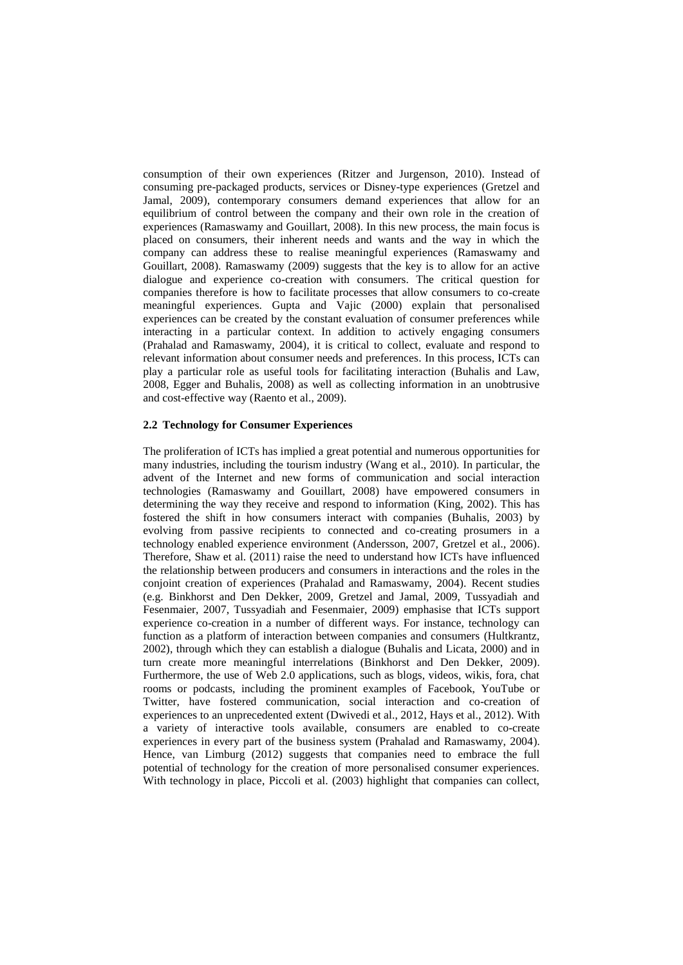consumption of their own experiences (Ritzer and Jurgenson, 2010). Instead of consuming pre-packaged products, services or Disney-type experiences (Gretzel and Jamal, 2009), contemporary consumers demand experiences that allow for an equilibrium of control between the company and their own role in the creation of experiences (Ramaswamy and Gouillart, 2008). In this new process, the main focus is placed on consumers, their inherent needs and wants and the way in which the company can address these to realise meaningful experiences (Ramaswamy and Gouillart, 2008). Ramaswamy (2009) suggests that the key is to allow for an active dialogue and experience co-creation with consumers. The critical question for companies therefore is how to facilitate processes that allow consumers to co-create meaningful experiences. Gupta and Vajic (2000) explain that personalised experiences can be created by the constant evaluation of consumer preferences while interacting in a particular context. In addition to actively engaging consumers (Prahalad and Ramaswamy, 2004), it is critical to collect, evaluate and respond to relevant information about consumer needs and preferences. In this process, ICTs can play a particular role as useful tools for facilitating interaction (Buhalis and Law, 2008, Egger and Buhalis, 2008) as well as collecting information in an unobtrusive and cost-effective way (Raento et al., 2009).

### **2.2 Technology for Consumer Experiences**

The proliferation of ICTs has implied a great potential and numerous opportunities for many industries, including the tourism industry (Wang et al., 2010). In particular, the advent of the Internet and new forms of communication and social interaction technologies (Ramaswamy and Gouillart, 2008) have empowered consumers in determining the way they receive and respond to information (King, 2002). This has fostered the shift in how consumers interact with companies (Buhalis, 2003) by evolving from passive recipients to connected and co-creating prosumers in a technology enabled experience environment (Andersson, 2007, Gretzel et al., 2006). Therefore, Shaw et al. (2011) raise the need to understand how ICTs have influenced the relationship between producers and consumers in interactions and the roles in the conjoint creation of experiences (Prahalad and Ramaswamy, 2004). Recent studies (e.g. Binkhorst and Den Dekker, 2009, Gretzel and Jamal, 2009, Tussyadiah and Fesenmaier, 2007, Tussyadiah and Fesenmaier, 2009) emphasise that ICTs support experience co-creation in a number of different ways. For instance, technology can function as a platform of interaction between companies and consumers (Hultkrantz, 2002), through which they can establish a dialogue (Buhalis and Licata, 2000) and in turn create more meaningful interrelations (Binkhorst and Den Dekker, 2009). Furthermore, the use of Web 2.0 applications, such as blogs, videos, wikis, fora, chat rooms or podcasts, including the prominent examples of Facebook, YouTube or Twitter, have fostered communication, social interaction and co-creation of experiences to an unprecedented extent (Dwivedi et al., 2012, Hays et al., 2012). With a variety of interactive tools available, consumers are enabled to co-create experiences in every part of the business system (Prahalad and Ramaswamy, 2004). Hence, van Limburg (2012) suggests that companies need to embrace the full potential of technology for the creation of more personalised consumer experiences. With technology in place, Piccoli et al. (2003) highlight that companies can collect,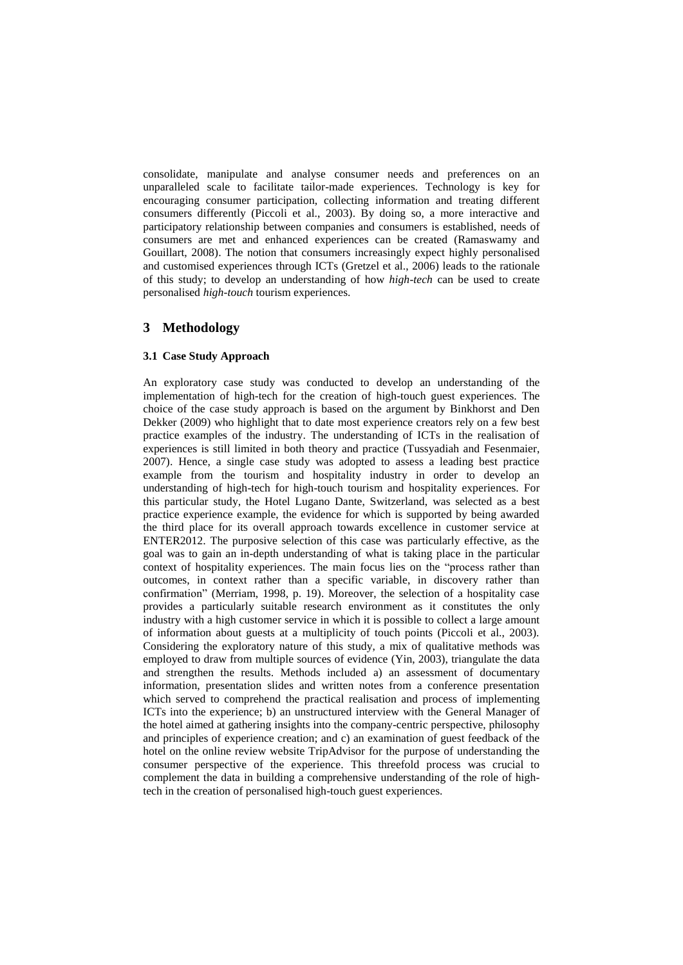consolidate, manipulate and analyse consumer needs and preferences on an unparalleled scale to facilitate tailor-made experiences. Technology is key for encouraging consumer participation, collecting information and treating different consumers differently (Piccoli et al., 2003). By doing so, a more interactive and participatory relationship between companies and consumers is established, needs of consumers are met and enhanced experiences can be created (Ramaswamy and Gouillart, 2008). The notion that consumers increasingly expect highly personalised and customised experiences through ICTs (Gretzel et al., 2006) leads to the rationale of this study; to develop an understanding of how *high-tech* can be used to create personalised *high-touch* tourism experiences.

# **3 Methodology**

#### **3.1 Case Study Approach**

An exploratory case study was conducted to develop an understanding of the implementation of high-tech for the creation of high-touch guest experiences. The choice of the case study approach is based on the argument by Binkhorst and Den Dekker (2009) who highlight that to date most experience creators rely on a few best practice examples of the industry. The understanding of ICTs in the realisation of experiences is still limited in both theory and practice (Tussyadiah and Fesenmaier, 2007). Hence, a single case study was adopted to assess a leading best practice example from the tourism and hospitality industry in order to develop an understanding of high-tech for high-touch tourism and hospitality experiences. For this particular study, the Hotel Lugano Dante, Switzerland, was selected as a best practice experience example, the evidence for which is supported by being awarded the third place for its overall approach towards excellence in customer service at ENTER2012. The purposive selection of this case was particularly effective, as the goal was to gain an in-depth understanding of what is taking place in the particular context of hospitality experiences. The main focus lies on the "process rather than outcomes, in context rather than a specific variable, in discovery rather than confirmation" (Merriam, 1998, p. 19). Moreover, the selection of a hospitality case provides a particularly suitable research environment as it constitutes the only industry with a high customer service in which it is possible to collect a large amount of information about guests at a multiplicity of touch points (Piccoli et al., 2003). Considering the exploratory nature of this study, a mix of qualitative methods was employed to draw from multiple sources of evidence (Yin, 2003), triangulate the data and strengthen the results. Methods included a) an assessment of documentary information, presentation slides and written notes from a conference presentation which served to comprehend the practical realisation and process of implementing ICTs into the experience; b) an unstructured interview with the General Manager of the hotel aimed at gathering insights into the company-centric perspective, philosophy and principles of experience creation; and c) an examination of guest feedback of the hotel on the online review website TripAdvisor for the purpose of understanding the consumer perspective of the experience. This threefold process was crucial to complement the data in building a comprehensive understanding of the role of hightech in the creation of personalised high-touch guest experiences.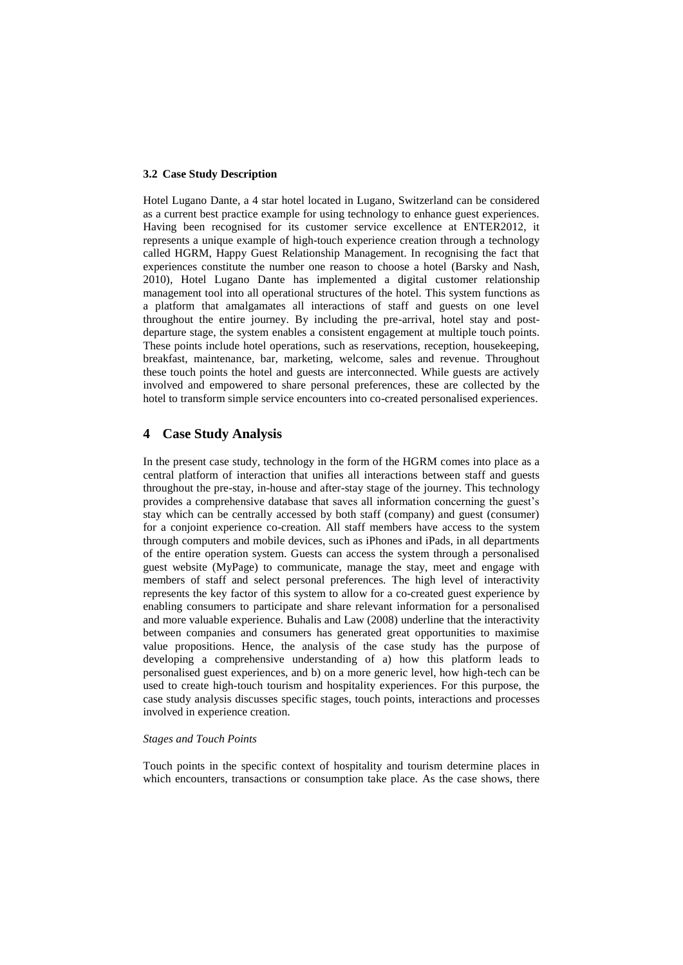#### **3.2 Case Study Description**

Hotel Lugano Dante, a 4 star hotel located in Lugano, Switzerland can be considered as a current best practice example for using technology to enhance guest experiences. Having been recognised for its customer service excellence at ENTER2012, it represents a unique example of high-touch experience creation through a technology called HGRM, Happy Guest Relationship Management. In recognising the fact that experiences constitute the number one reason to choose a hotel (Barsky and Nash, 2010), Hotel Lugano Dante has implemented a digital customer relationship management tool into all operational structures of the hotel. This system functions as a platform that amalgamates all interactions of staff and guests on one level throughout the entire journey. By including the pre-arrival, hotel stay and postdeparture stage, the system enables a consistent engagement at multiple touch points. These points include hotel operations, such as reservations, reception, housekeeping, breakfast, maintenance, bar, marketing, welcome, sales and revenue. Throughout these touch points the hotel and guests are interconnected. While guests are actively involved and empowered to share personal preferences, these are collected by the hotel to transform simple service encounters into co-created personalised experiences.

## **4 Case Study Analysis**

In the present case study, technology in the form of the HGRM comes into place as a central platform of interaction that unifies all interactions between staff and guests throughout the pre-stay, in-house and after-stay stage of the journey. This technology provides a comprehensive database that saves all information concerning the guest's stay which can be centrally accessed by both staff (company) and guest (consumer) for a conjoint experience co-creation. All staff members have access to the system through computers and mobile devices, such as iPhones and iPads, in all departments of the entire operation system. Guests can access the system through a personalised guest website (MyPage) to communicate, manage the stay, meet and engage with members of staff and select personal preferences. The high level of interactivity represents the key factor of this system to allow for a co-created guest experience by enabling consumers to participate and share relevant information for a personalised and more valuable experience. Buhalis and Law (2008) underline that the interactivity between companies and consumers has generated great opportunities to maximise value propositions. Hence, the analysis of the case study has the purpose of developing a comprehensive understanding of a) how this platform leads to personalised guest experiences, and b) on a more generic level, how high-tech can be used to create high-touch tourism and hospitality experiences. For this purpose, the case study analysis discusses specific stages, touch points, interactions and processes involved in experience creation.

#### *Stages and Touch Points*

Touch points in the specific context of hospitality and tourism determine places in which encounters, transactions or consumption take place. As the case shows, there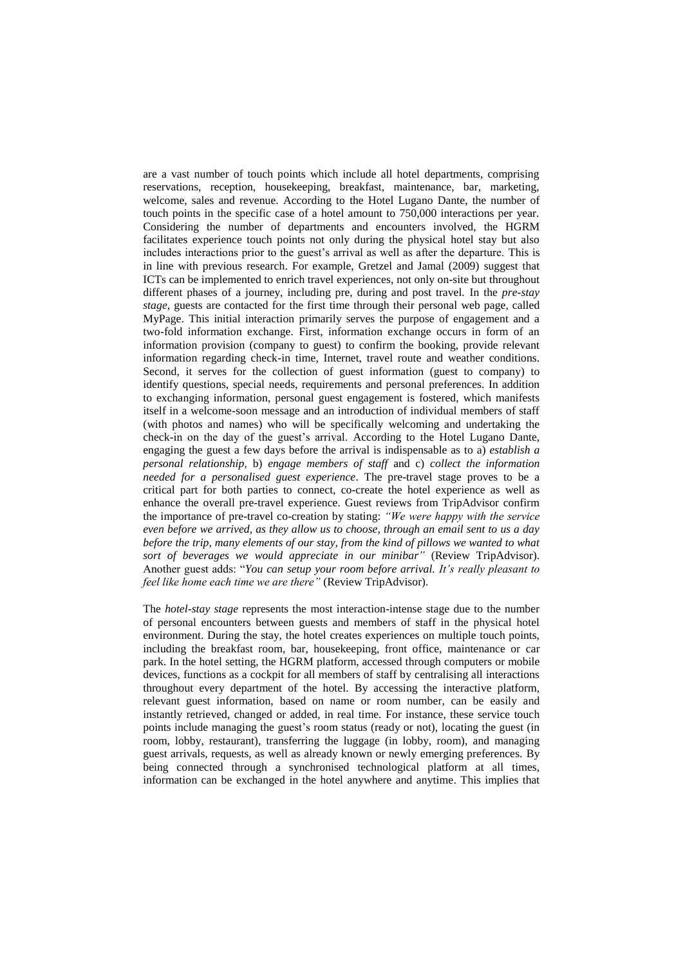are a vast number of touch points which include all hotel departments, comprising reservations, reception, housekeeping, breakfast, maintenance, bar, marketing, welcome, sales and revenue. According to the Hotel Lugano Dante, the number of touch points in the specific case of a hotel amount to 750,000 interactions per year. Considering the number of departments and encounters involved, the HGRM facilitates experience touch points not only during the physical hotel stay but also includes interactions prior to the guest's arrival as well as after the departure. This is in line with previous research. For example, Gretzel and Jamal (2009) suggest that ICTs can be implemented to enrich travel experiences, not only on-site but throughout different phases of a journey, including pre, during and post travel. In the *pre-stay stage*, guests are contacted for the first time through their personal web page, called MyPage. This initial interaction primarily serves the purpose of engagement and a two-fold information exchange. First, information exchange occurs in form of an information provision (company to guest) to confirm the booking, provide relevant information regarding check-in time, Internet, travel route and weather conditions. Second, it serves for the collection of guest information (guest to company) to identify questions, special needs, requirements and personal preferences. In addition to exchanging information, personal guest engagement is fostered, which manifests itself in a welcome-soon message and an introduction of individual members of staff (with photos and names) who will be specifically welcoming and undertaking the check-in on the day of the guest's arrival. According to the Hotel Lugano Dante, engaging the guest a few days before the arrival is indispensable as to a) *establish a personal relationship*, b) *engage members of staff* and c) *collect the information needed for a personalised guest experience*. The pre-travel stage proves to be a critical part for both parties to connect, co-create the hotel experience as well as enhance the overall pre-travel experience. Guest reviews from TripAdvisor confirm the importance of pre-travel co-creation by stating: *"We were happy with the service even before we arrived, as they allow us to choose, through an email sent to us a day before the trip, many elements of our stay, from the kind of pillows we wanted to what sort of beverages we would appreciate in our minibar"* (Review TripAdvisor). Another guest adds: "*You can setup your room before arrival. It's really pleasant to feel like home each time we are there"* (Review TripAdvisor).

The *hotel-stay stage* represents the most interaction-intense stage due to the number of personal encounters between guests and members of staff in the physical hotel environment. During the stay, the hotel creates experiences on multiple touch points, including the breakfast room, bar, housekeeping, front office, maintenance or car park. In the hotel setting, the HGRM platform, accessed through computers or mobile devices, functions as a cockpit for all members of staff by centralising all interactions throughout every department of the hotel. By accessing the interactive platform, relevant guest information, based on name or room number, can be easily and instantly retrieved, changed or added, in real time. For instance, these service touch points include managing the guest's room status (ready or not), locating the guest (in room, lobby, restaurant), transferring the luggage (in lobby, room), and managing guest arrivals, requests, as well as already known or newly emerging preferences. By being connected through a synchronised technological platform at all times, information can be exchanged in the hotel anywhere and anytime. This implies that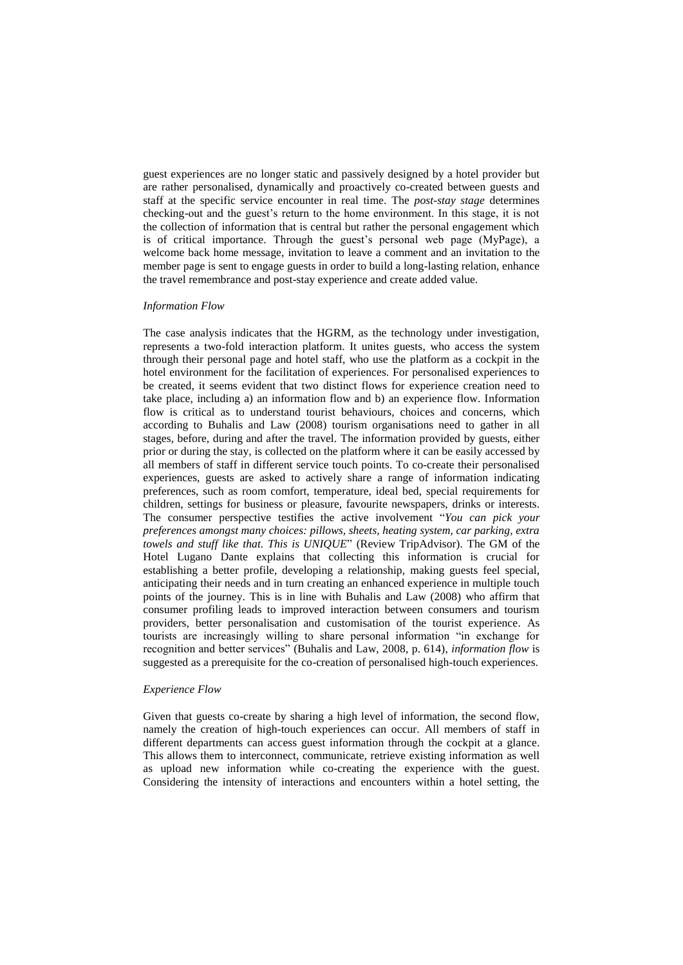guest experiences are no longer static and passively designed by a hotel provider but are rather personalised, dynamically and proactively co-created between guests and staff at the specific service encounter in real time. The *post-stay stage* determines checking-out and the guest's return to the home environment. In this stage, it is not the collection of information that is central but rather the personal engagement which is of critical importance. Through the guest's personal web page (MyPage), a welcome back home message, invitation to leave a comment and an invitation to the member page is sent to engage guests in order to build a long-lasting relation, enhance the travel remembrance and post-stay experience and create added value.

#### *Information Flow*

The case analysis indicates that the HGRM, as the technology under investigation, represents a two-fold interaction platform. It unites guests, who access the system through their personal page and hotel staff, who use the platform as a cockpit in the hotel environment for the facilitation of experiences. For personalised experiences to be created, it seems evident that two distinct flows for experience creation need to take place, including a) an information flow and b) an experience flow. Information flow is critical as to understand tourist behaviours, choices and concerns, which according to Buhalis and Law (2008) tourism organisations need to gather in all stages, before, during and after the travel. The information provided by guests, either prior or during the stay, is collected on the platform where it can be easily accessed by all members of staff in different service touch points. To co-create their personalised experiences, guests are asked to actively share a range of information indicating preferences, such as room comfort, temperature, ideal bed, special requirements for children, settings for business or pleasure, favourite newspapers, drinks or interests. The consumer perspective testifies the active involvement "*You can pick your preferences amongst many choices: pillows, sheets, heating system, car parking, extra towels and stuff like that. This is UNIQUE*" (Review TripAdvisor). The GM of the Hotel Lugano Dante explains that collecting this information is crucial for establishing a better profile, developing a relationship, making guests feel special, anticipating their needs and in turn creating an enhanced experience in multiple touch points of the journey. This is in line with Buhalis and Law (2008) who affirm that consumer profiling leads to improved interaction between consumers and tourism providers, better personalisation and customisation of the tourist experience. As tourists are increasingly willing to share personal information "in exchange for recognition and better services" (Buhalis and Law, 2008, p. 614), *information flow* is suggested as a prerequisite for the co-creation of personalised high-touch experiences.

#### *Experience Flow*

Given that guests co-create by sharing a high level of information, the second flow, namely the creation of high-touch experiences can occur. All members of staff in different departments can access guest information through the cockpit at a glance. This allows them to interconnect, communicate, retrieve existing information as well as upload new information while co-creating the experience with the guest. Considering the intensity of interactions and encounters within a hotel setting, the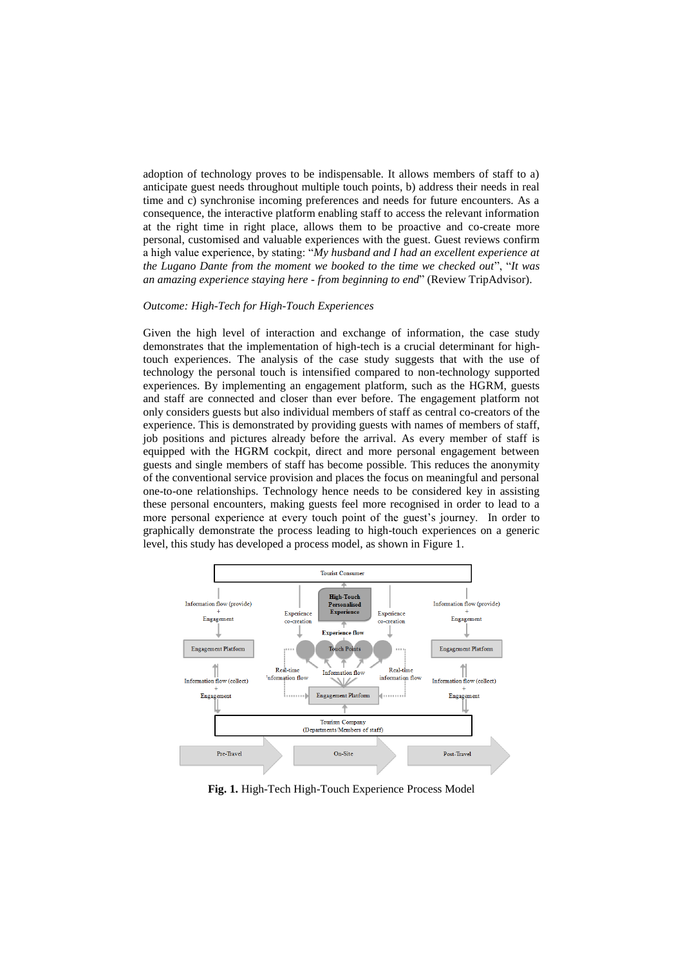adoption of technology proves to be indispensable. It allows members of staff to a) anticipate guest needs throughout multiple touch points, b) address their needs in real time and c) synchronise incoming preferences and needs for future encounters. As a consequence, the interactive platform enabling staff to access the relevant information at the right time in right place, allows them to be proactive and co-create more personal, customised and valuable experiences with the guest. Guest reviews confirm a high value experience, by stating: "*My husband and I had an excellent experience at the Lugano Dante from the moment we booked to the time we checked out*", "*It was an amazing experience staying here - from beginning to end*" (Review TripAdvisor).

### *Outcome: High-Tech for High-Touch Experiences*

Given the high level of interaction and exchange of information, the case study demonstrates that the implementation of high-tech is a crucial determinant for hightouch experiences. The analysis of the case study suggests that with the use of technology the personal touch is intensified compared to non-technology supported experiences. By implementing an engagement platform, such as the HGRM, guests and staff are connected and closer than ever before. The engagement platform not only considers guests but also individual members of staff as central co-creators of the experience. This is demonstrated by providing guests with names of members of staff, job positions and pictures already before the arrival. As every member of staff is equipped with the HGRM cockpit, direct and more personal engagement between guests and single members of staff has become possible. This reduces the anonymity of the conventional service provision and places the focus on meaningful and personal one-to-one relationships. Technology hence needs to be considered key in assisting these personal encounters, making guests feel more recognised in order to lead to a more personal experience at every touch point of the guest's journey. In order to graphically demonstrate the process leading to high-touch experiences on a generic level, this study has developed a process model, as shown in Figure 1.



**Fig. 1.** High-Tech High-Touch Experience Process Model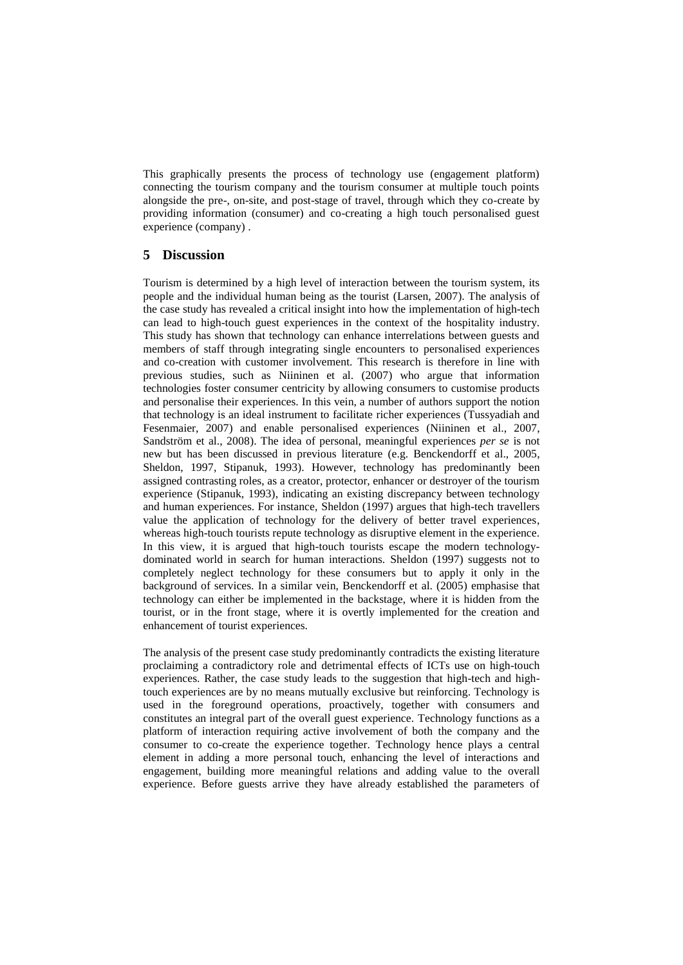This graphically presents the process of technology use (engagement platform) connecting the tourism company and the tourism consumer at multiple touch points alongside the pre-, on-site, and post-stage of travel, through which they co-create by providing information (consumer) and co-creating a high touch personalised guest experience (company) .

# **5 Discussion**

Tourism is determined by a high level of interaction between the tourism system, its people and the individual human being as the tourist (Larsen, 2007). The analysis of the case study has revealed a critical insight into how the implementation of high-tech can lead to high-touch guest experiences in the context of the hospitality industry. This study has shown that technology can enhance interrelations between guests and members of staff through integrating single encounters to personalised experiences and co-creation with customer involvement. This research is therefore in line with previous studies, such as Niininen et al. (2007) who argue that information technologies foster consumer centricity by allowing consumers to customise products and personalise their experiences. In this vein, a number of authors support the notion that technology is an ideal instrument to facilitate richer experiences (Tussyadiah and Fesenmaier, 2007) and enable personalised experiences (Niininen et al., 2007, Sandström et al., 2008). The idea of personal, meaningful experiences *per se* is not new but has been discussed in previous literature (e.g. Benckendorff et al., 2005, Sheldon, 1997, Stipanuk, 1993). However, technology has predominantly been assigned contrasting roles, as a creator, protector, enhancer or destroyer of the tourism experience (Stipanuk, 1993), indicating an existing discrepancy between technology and human experiences. For instance, Sheldon (1997) argues that high-tech travellers value the application of technology for the delivery of better travel experiences, whereas high-touch tourists repute technology as disruptive element in the experience. In this view, it is argued that high-touch tourists escape the modern technologydominated world in search for human interactions. Sheldon (1997) suggests not to completely neglect technology for these consumers but to apply it only in the background of services. In a similar vein, Benckendorff et al. (2005) emphasise that technology can either be implemented in the backstage, where it is hidden from the tourist, or in the front stage, where it is overtly implemented for the creation and enhancement of tourist experiences.

The analysis of the present case study predominantly contradicts the existing literature proclaiming a contradictory role and detrimental effects of ICTs use on high-touch experiences. Rather, the case study leads to the suggestion that high-tech and hightouch experiences are by no means mutually exclusive but reinforcing. Technology is used in the foreground operations, proactively, together with consumers and constitutes an integral part of the overall guest experience. Technology functions as a platform of interaction requiring active involvement of both the company and the consumer to co-create the experience together. Technology hence plays a central element in adding a more personal touch, enhancing the level of interactions and engagement, building more meaningful relations and adding value to the overall experience. Before guests arrive they have already established the parameters of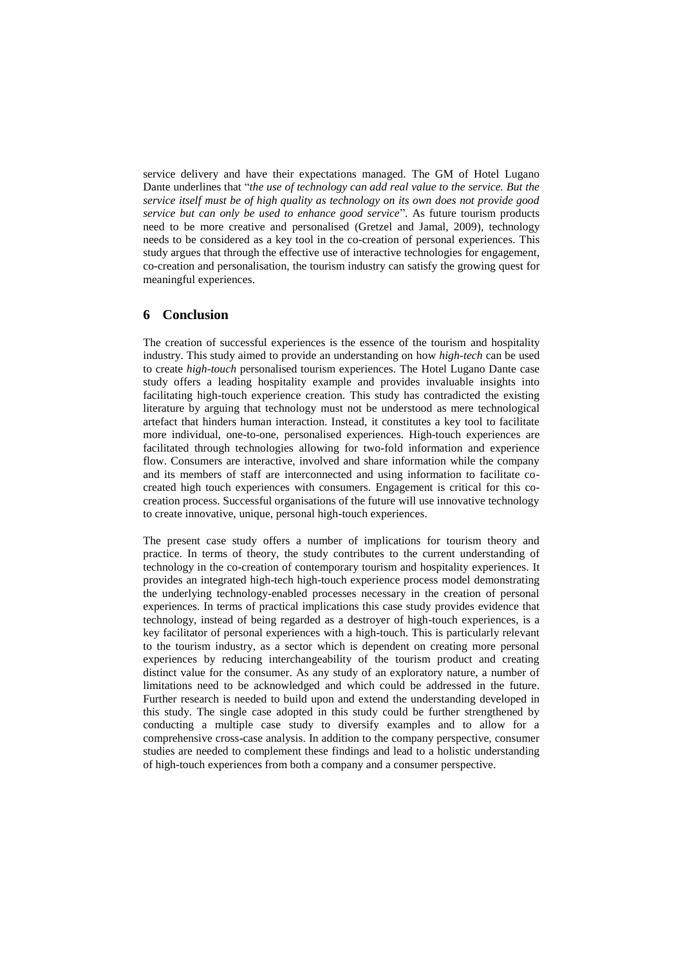service delivery and have their expectations managed. The GM of Hotel Lugano Dante underlines that "*the use of technology can add real value to the service. But the service itself must be of high quality as technology on its own does not provide good service but can only be used to enhance good service*". As future tourism products need to be more creative and personalised (Gretzel and Jamal, 2009), technology needs to be considered as a key tool in the co-creation of personal experiences. This study argues that through the effective use of interactive technologies for engagement, co-creation and personalisation, the tourism industry can satisfy the growing quest for meaningful experiences.

# **6 Conclusion**

The creation of successful experiences is the essence of the tourism and hospitality industry. This study aimed to provide an understanding on how *high-tech* can be used to create *high-touch* personalised tourism experiences. The Hotel Lugano Dante case study offers a leading hospitality example and provides invaluable insights into facilitating high-touch experience creation. This study has contradicted the existing literature by arguing that technology must not be understood as mere technological artefact that hinders human interaction. Instead, it constitutes a key tool to facilitate more individual, one-to-one, personalised experiences. High-touch experiences are facilitated through technologies allowing for two-fold information and experience flow. Consumers are interactive, involved and share information while the company and its members of staff are interconnected and using information to facilitate cocreated high touch experiences with consumers. Engagement is critical for this cocreation process. Successful organisations of the future will use innovative technology to create innovative, unique, personal high-touch experiences.

The present case study offers a number of implications for tourism theory and practice. In terms of theory, the study contributes to the current understanding of technology in the co-creation of contemporary tourism and hospitality experiences. It provides an integrated high-tech high-touch experience process model demonstrating the underlying technology-enabled processes necessary in the creation of personal experiences. In terms of practical implications this case study provides evidence that technology, instead of being regarded as a destroyer of high-touch experiences, is a key facilitator of personal experiences with a high-touch. This is particularly relevant to the tourism industry, as a sector which is dependent on creating more personal experiences by reducing interchangeability of the tourism product and creating distinct value for the consumer. As any study of an exploratory nature, a number of limitations need to be acknowledged and which could be addressed in the future. Further research is needed to build upon and extend the understanding developed in this study. The single case adopted in this study could be further strengthened by conducting a multiple case study to diversify examples and to allow for a comprehensive cross-case analysis. In addition to the company perspective, consumer studies are needed to complement these findings and lead to a holistic understanding of high-touch experiences from both a company and a consumer perspective.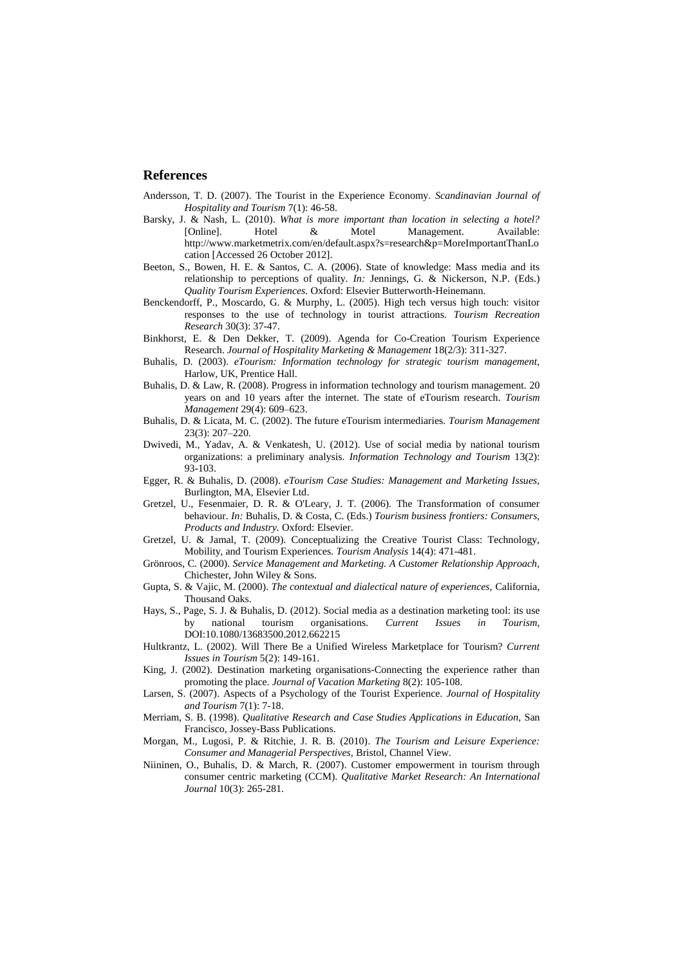#### **References**

- Andersson, T. D. (2007). The Tourist in the Experience Economy. *Scandinavian Journal of Hospitality and Tourism* 7(1): 46-58.
- Barsky, J. & Nash, L. (2010). *What is more important than location in selecting a hotel?*  [Online]. Hotel & Motel Management. Available: http://www.marketmetrix.com/en/default.aspx?s=research&p=MoreImportantThanLo cation [Accessed 26 October 2012].
- Beeton, S., Bowen, H. E. & Santos, C. A. (2006). State of knowledge: Mass media and its relationship to perceptions of quality. *In:* Jennings, G. & Nickerson, N.P. (Eds.) *Quality Tourism Experiences.* Oxford: Elsevier Butterworth-Heinemann.
- Benckendorff, P., Moscardo, G. & Murphy, L. (2005). High tech versus high touch: visitor responses to the use of technology in tourist attractions. *Tourism Recreation Research* 30(3): 37-47.
- Binkhorst, E. & Den Dekker, T. (2009). Agenda for Co-Creation Tourism Experience Research. *Journal of Hospitality Marketing & Management* 18(2/3): 311-327.
- Buhalis, D. (2003). *eTourism: Information technology for strategic tourism management,*  Harlow, UK, Prentice Hall.
- Buhalis, D. & Law, R. (2008). Progress in information technology and tourism management. 20 years on and 10 years after the internet. The state of eTourism research. *Tourism Management* 29(4): 609–623.
- Buhalis, D. & Licata, M. C. (2002). The future eTourism intermediaries. *Tourism Management* 23(3): 207–220.
- Dwivedi, M., Yadav, A. & Venkatesh, U. (2012). Use of social media by national tourism organizations: a preliminary analysis. *Information Technology and Tourism* 13(2): 93-103.
- Egger, R. & Buhalis, D. (2008). *eTourism Case Studies: Management and Marketing Issues,*  Burlington, MA, Elsevier Ltd.
- Gretzel, U., Fesenmaier, D. R. & O'Leary, J. T. (2006). The Transformation of consumer behaviour. *In:* Buhalis, D. & Costa, C. (Eds.) *Tourism business frontiers: Consumers, Products and Industry.* Oxford: Elsevier.
- Gretzel, U. & Jamal, T. (2009). Conceptualizing the Creative Tourist Class: Technology, Mobility, and Tourism Experiences. *Tourism Analysis* 14(4): 471-481.
- Grönroos, C. (2000). *Service Management and Marketing. A Customer Relationship Approach,*  Chichester, John Wiley & Sons.
- Gupta, S. & Vajic, M. (2000). *The contextual and dialectical nature of experiences,* California, Thousand Oaks.
- Hays, S., Page, S. J. & Buhalis, D. (2012). Social media as a destination marketing tool: its use by national tourism organisations. *Current Issues in Tourism,* DOI:10.1080/13683500.2012.662215
- Hultkrantz, L. (2002). Will There Be a Unified Wireless Marketplace for Tourism? *Current Issues in Tourism* 5(2): 149-161.
- King, J. (2002). Destination marketing organisations-Connecting the experience rather than promoting the place. *Journal of Vacation Marketing* 8(2): 105-108.
- Larsen, S. (2007). Aspects of a Psychology of the Tourist Experience. *Journal of Hospitality and Tourism* 7(1): 7-18.
- Merriam, S. B. (1998). *Qualitative Research and Case Studies Applications in Education,* San Francisco, Jossey-Bass Publications.
- Morgan, M., Lugosi, P. & Ritchie, J. R. B. (2010). *The Tourism and Leisure Experience: Consumer and Managerial Perspectives,* Bristol, Channel View.
- Niininen, O., Buhalis, D. & March, R. (2007). Customer empowerment in tourism through consumer centric marketing (CCM). *Qualitative Market Research: An International Journal* 10(3): 265-281.